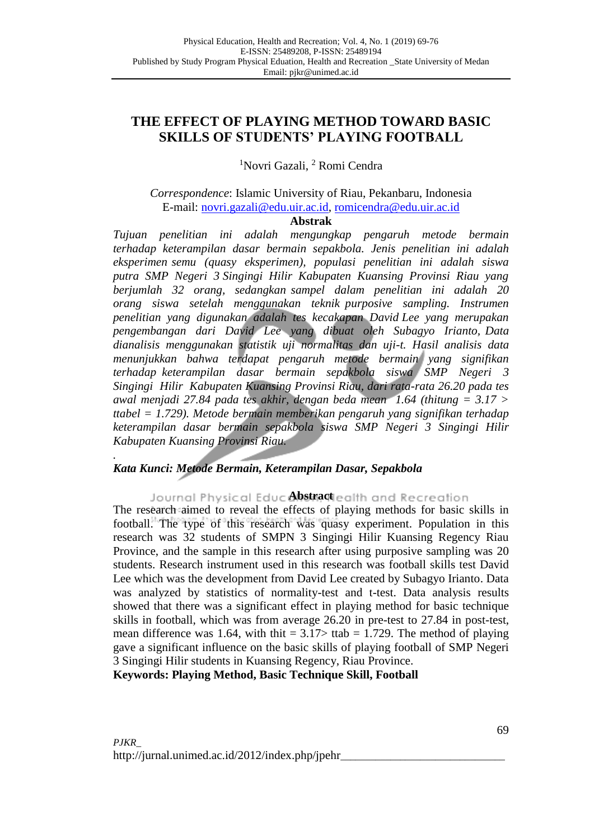# **THE EFFECT OF PLAYING METHOD TOWARD BASIC SKILLS OF STUDENTS' PLAYING FOOTBALL**

<sup>1</sup>Novri Gazali, <sup>2</sup> Romi Cendra

# *Correspondence*: Islamic University of Riau, Pekanbaru, Indonesia E-mail: [novri.gazali@edu.uir.ac.id,](mailto:novri.gazali@edu.uir.ac.id) [romicendra@edu.uir.ac.id](mailto:romicendra@edu.uir.ac.id)

## **Abstrak**

*Tujuan penelitian ini adalah mengungkap pengaruh metode bermain terhadap keterampilan dasar bermain sepakbola. Jenis penelitian ini adalah eksperimen semu (quasy eksperimen), populasi penelitian ini adalah siswa putra SMP Negeri 3 Singingi Hilir Kabupaten Kuansing Provinsi Riau yang berjumlah 32 orang, sedangkan sampel dalam penelitian ini adalah 20 orang siswa setelah menggunakan teknik purposive sampling. Instrumen penelitian yang digunakan adalah tes kecakapan David Lee yang merupakan pengembangan dari David Lee yang dibuat oleh Subagyo Irianto, Data dianalisis menggunakan statistik uji normalitas dan uji-t. Hasil analisis data menunjukkan bahwa terdapat pengaruh metode bermain yang signifikan terhadap keterampilan dasar bermain sepakbola siswa SMP Negeri 3 Singingi Hilir Kabupaten Kuansing Provinsi Riau, dari rata-rata 26.20 pada tes awal menjadi 27.84 pada tes akhir, dengan beda mean 1.64 (thitung = 3.17 > ttabel = 1.729). Metode bermain memberikan pengaruh yang signifikan terhadap keterampilan dasar bermain sepakbola siswa SMP Negeri 3 Singingi Hilir Kabupaten Kuansing Provinsi Riau.*

#### *. Kata Kunci: Metode Bermain, Keterampilan Dasar, Sepakbola*

Journal Physical Educ**Abstract** ealth and Recreation

The research aimed to reveal the effects of playing methods for basic skills in football. The type of this research was quasy experiment. Population in this research was 32 students of SMPN 3 Singingi Hilir Kuansing Regency Riau Province, and the sample in this research after using purposive sampling was 20 students. Research instrument used in this research was football skills test David Lee which was the development from David Lee created by Subagyo Irianto. Data was analyzed by statistics of normality-test and t-test. Data analysis results showed that there was a significant effect in playing method for basic technique skills in football, which was from average 26.20 in pre-test to 27.84 in post-test, mean difference was 1.64, with thit =  $3.17$  ttab = 1.729. The method of playing gave a significant influence on the basic skills of playing football of SMP Negeri 3 Singingi Hilir students in Kuansing Regency, Riau Province.

**Keywords: Playing Method, Basic Technique Skill, Football**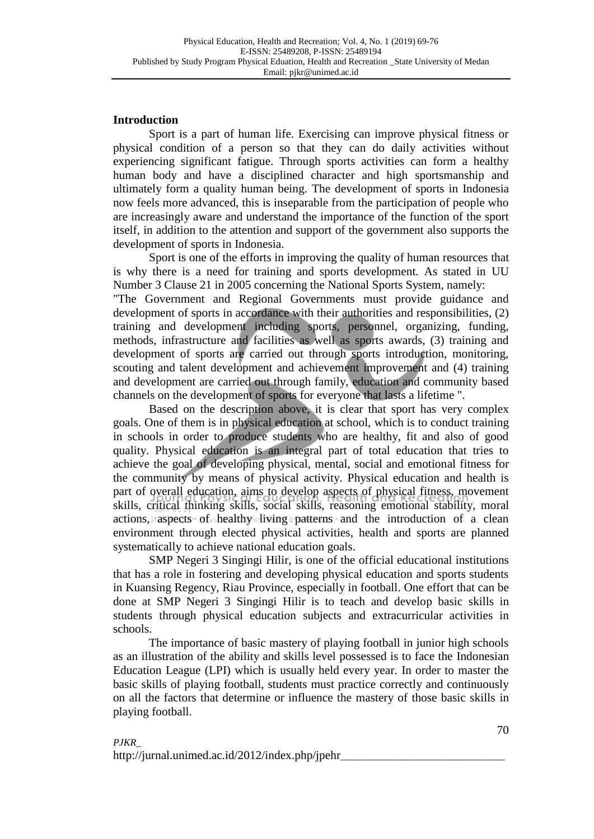### **Introduction**

Sport is a part of human life. Exercising can improve physical fitness or physical condition of a person so that they can do daily activities without experiencing significant fatigue. Through sports activities can form a healthy human body and have a disciplined character and high sportsmanship and ultimately form a quality human being. The development of sports in Indonesia now feels more advanced, this is inseparable from the participation of people who are increasingly aware and understand the importance of the function of the sport itself, in addition to the attention and support of the government also supports the development of sports in Indonesia.

Sport is one of the efforts in improving the quality of human resources that is why there is a need for training and sports development. As stated in UU Number 3 Clause 21 in 2005 concerning the National Sports System, namely: "The Government and Regional Governments must provide guidance and development of sports in accordance with their authorities and responsibilities, (2) training and development including sports, personnel, organizing, funding, methods, infrastructure and facilities as well as sports awards, (3) training and development of sports are carried out through sports introduction, monitoring, scouting and talent development and achievement improvement and (4) training and development are carried out through family, education and community based channels on the development of sports for everyone that lasts a lifetime ".

Based on the description above, it is clear that sport has very complex goals. One of them is in physical education at school, which is to conduct training in schools in order to produce students who are healthy, fit and also of good quality. Physical education is an integral part of total education that tries to achieve the goal of developing physical, mental, social and emotional fitness for the community by means of physical activity. Physical education and health is part of overall education, aims to develop aspects of physical fitness, movement skills, critical thinking skills, social skills, reasoning emotional stability, moral actions, aspects of healthy living patterns and the introduction of a clean environment through elected physical activities, health and sports are planned systematically to achieve national education goals.

SMP Negeri 3 Singingi Hilir, is one of the official educational institutions that has a role in fostering and developing physical education and sports students in Kuansing Regency, Riau Province, especially in football. One effort that can be done at SMP Negeri 3 Singingi Hilir is to teach and develop basic skills in students through physical education subjects and extracurricular activities in schools.

The importance of basic mastery of playing football in junior high schools as an illustration of the ability and skills level possessed is to face the Indonesian Education League (LPI) which is usually held every year. In order to master the basic skills of playing football, students must practice correctly and continuously on all the factors that determine or influence the mastery of those basic skills in playing football.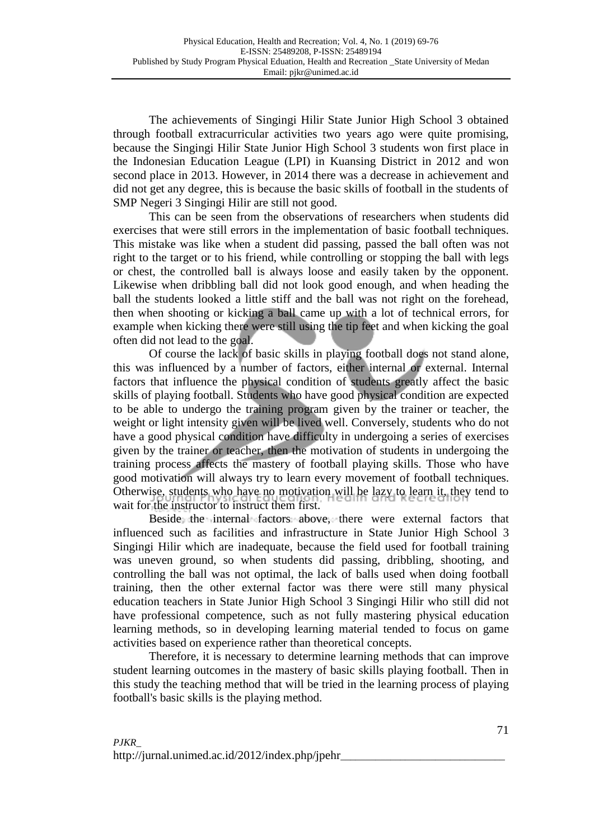The achievements of Singingi Hilir State Junior High School 3 obtained through football extracurricular activities two years ago were quite promising, because the Singingi Hilir State Junior High School 3 students won first place in the Indonesian Education League (LPI) in Kuansing District in 2012 and won second place in 2013. However, in 2014 there was a decrease in achievement and did not get any degree, this is because the basic skills of football in the students of SMP Negeri 3 Singingi Hilir are still not good.

This can be seen from the observations of researchers when students did exercises that were still errors in the implementation of basic football techniques. This mistake was like when a student did passing, passed the ball often was not right to the target or to his friend, while controlling or stopping the ball with legs or chest, the controlled ball is always loose and easily taken by the opponent. Likewise when dribbling ball did not look good enough, and when heading the ball the students looked a little stiff and the ball was not right on the forehead, then when shooting or kicking a ball came up with a lot of technical errors, for example when kicking there were still using the tip feet and when kicking the goal often did not lead to the goal.

Of course the lack of basic skills in playing football does not stand alone, this was influenced by a number of factors, either internal or external. Internal factors that influence the physical condition of students greatly affect the basic skills of playing football. Students who have good physical condition are expected to be able to undergo the training program given by the trainer or teacher, the weight or light intensity given will be lived well. Conversely, students who do not have a good physical condition have difficulty in undergoing a series of exercises given by the trainer or teacher, then the motivation of students in undergoing the training process affects the mastery of football playing skills. Those who have good motivation will always try to learn every movement of football techniques. Otherwise, students who have no motivation will be lazy to learn it, they tend to wait for the instructor to instruct them first.

Beside the internal factors above, there were external factors that influenced such as facilities and infrastructure in State Junior High School 3 Singingi Hilir which are inadequate, because the field used for football training was uneven ground, so when students did passing, dribbling, shooting, and controlling the ball was not optimal, the lack of balls used when doing football training, then the other external factor was there were still many physical education teachers in State Junior High School 3 Singingi Hilir who still did not have professional competence, such as not fully mastering physical education learning methods, so in developing learning material tended to focus on game activities based on experience rather than theoretical concepts.

Therefore, it is necessary to determine learning methods that can improve student learning outcomes in the mastery of basic skills playing football. Then in this study the teaching method that will be tried in the learning process of playing football's basic skills is the playing method.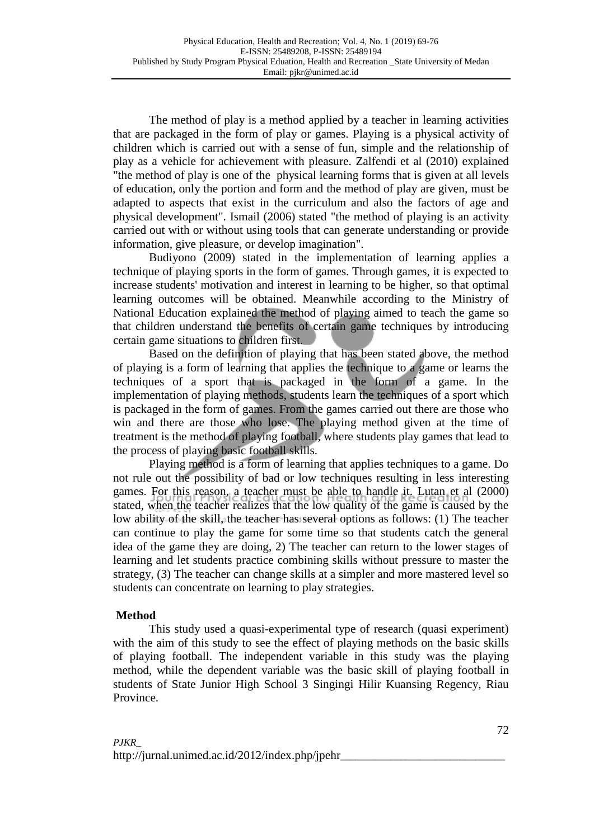The method of play is a method applied by a teacher in learning activities that are packaged in the form of play or games. Playing is a physical activity of children which is carried out with a sense of fun, simple and the relationship of play as a vehicle for achievement with pleasure. Zalfendi et al (2010) explained "the method of play is one of the physical learning forms that is given at all levels of education, only the portion and form and the method of play are given, must be adapted to aspects that exist in the curriculum and also the factors of age and physical development". Ismail (2006) stated "the method of playing is an activity carried out with or without using tools that can generate understanding or provide information, give pleasure, or develop imagination".

Budiyono (2009) stated in the implementation of learning applies a technique of playing sports in the form of games. Through games, it is expected to increase students' motivation and interest in learning to be higher, so that optimal learning outcomes will be obtained. Meanwhile according to the Ministry of National Education explained the method of playing aimed to teach the game so that children understand the benefits of certain game techniques by introducing certain game situations to children first.

Based on the definition of playing that has been stated above, the method of playing is a form of learning that applies the technique to a game or learns the techniques of a sport that is packaged in the form of a game. In the implementation of playing methods, students learn the techniques of a sport which is packaged in the form of games. From the games carried out there are those who win and there are those who lose. The playing method given at the time of treatment is the method of playing football, where students play games that lead to the process of playing basic football skills.

Playing method is a form of learning that applies techniques to a game. Do not rule out the possibility of bad or low techniques resulting in less interesting games. For this reason, a teacher must be able to handle it. Lutan et al (2000) stated, when the teacher realizes that the low quality of the game is caused by the low ability of the skill, the teacher has several options as follows: (1) The teacher can continue to play the game for some time so that students catch the general idea of the game they are doing, 2) The teacher can return to the lower stages of learning and let students practice combining skills without pressure to master the strategy, (3) The teacher can change skills at a simpler and more mastered level so students can concentrate on learning to play strategies.

# **Method**

This study used a quasi-experimental type of research (quasi experiment) with the aim of this study to see the effect of playing methods on the basic skills of playing football. The independent variable in this study was the playing method, while the dependent variable was the basic skill of playing football in students of State Junior High School 3 Singingi Hilir Kuansing Regency, Riau Province.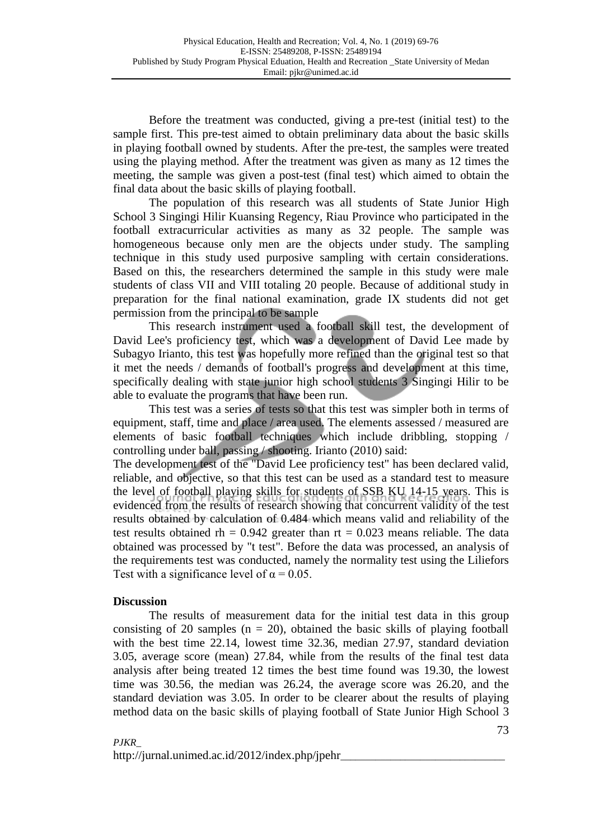Before the treatment was conducted, giving a pre-test (initial test) to the sample first. This pre-test aimed to obtain preliminary data about the basic skills in playing football owned by students. After the pre-test, the samples were treated using the playing method. After the treatment was given as many as 12 times the meeting, the sample was given a post-test (final test) which aimed to obtain the final data about the basic skills of playing football.

The population of this research was all students of State Junior High School 3 Singingi Hilir Kuansing Regency, Riau Province who participated in the football extracurricular activities as many as 32 people. The sample was homogeneous because only men are the objects under study. The sampling technique in this study used purposive sampling with certain considerations. Based on this, the researchers determined the sample in this study were male students of class VII and VIII totaling 20 people. Because of additional study in preparation for the final national examination, grade IX students did not get permission from the principal to be sample

This research instrument used a football skill test, the development of David Lee's proficiency test, which was a development of David Lee made by Subagyo Irianto, this test was hopefully more refined than the original test so that it met the needs / demands of football's progress and development at this time, specifically dealing with state junior high school students 3 Singingi Hilir to be able to evaluate the programs that have been run.

This test was a series of tests so that this test was simpler both in terms of equipment, staff, time and place / area used. The elements assessed / measured are elements of basic football techniques which include dribbling, stopping / controlling under ball, passing / shooting. Irianto (2010) said:

The development test of the "David Lee proficiency test" has been declared valid, reliable, and objective, so that this test can be used as a standard test to measure the level of football playing skills for students of SSB KU 14-15 years. This is evidenced from the results of research showing that concurrent validity of the test results obtained by calculation of 0.484 which means valid and reliability of the test results obtained rh =  $0.942$  greater than rt =  $0.023$  means reliable. The data obtained was processed by "t test". Before the data was processed, an analysis of the requirements test was conducted, namely the normality test using the Liliefors Test with a significance level of  $\alpha = 0.05$ .

## **Discussion**

The results of measurement data for the initial test data in this group consisting of 20 samples  $(n = 20)$ , obtained the basic skills of playing football with the best time 22.14, lowest time 32.36, median 27.97, standard deviation 3.05, average score (mean) 27.84, while from the results of the final test data analysis after being treated 12 times the best time found was 19.30, the lowest time was 30.56, the median was 26.24, the average score was 26.20, and the standard deviation was 3.05. In order to be clearer about the results of playing method data on the basic skills of playing football of State Junior High School 3

http://jurnal.unimed.ac.id/2012/index.php/jpehr*\_\_\_\_\_\_\_\_\_\_\_\_\_\_\_\_\_\_\_\_\_\_\_\_\_\_\_\_\_\_\_\_\_*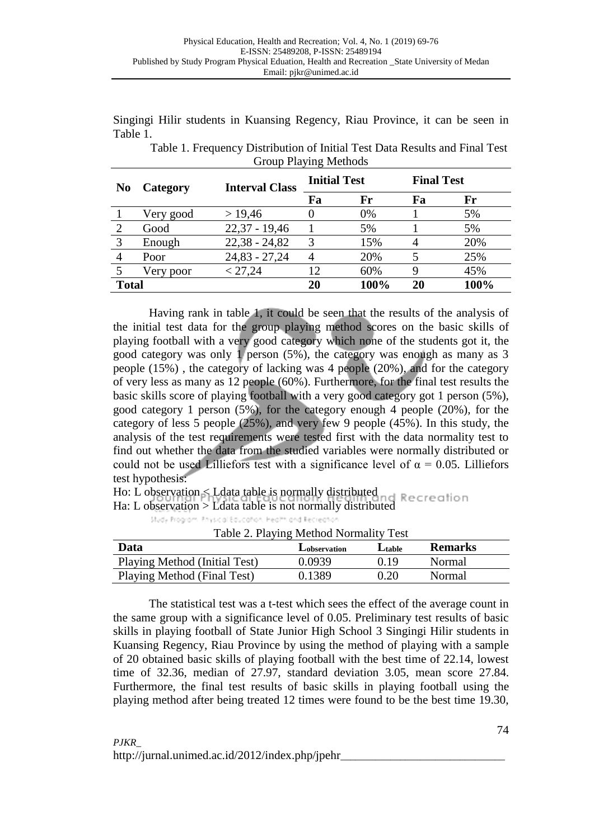Singingi Hilir students in Kuansing Regency, Riau Province, it can be seen in Table 1.

| $\frac{1}{2}$ $\frac{1}{2}$ $\frac{1}{2}$ $\frac{1}{2}$ $\frac{1}{2}$ $\frac{1}{2}$ $\frac{1}{2}$ $\frac{1}{2}$ $\frac{1}{2}$ $\frac{1}{2}$ |           |                       |                     |      |                   |      |  |  |  |
|---------------------------------------------------------------------------------------------------------------------------------------------|-----------|-----------------------|---------------------|------|-------------------|------|--|--|--|
| N <sub>0</sub>                                                                                                                              | Category  | <b>Interval Class</b> | <b>Initial Test</b> |      | <b>Final Test</b> |      |  |  |  |
|                                                                                                                                             |           |                       | Fa                  | Fr   | Fa                | Fr   |  |  |  |
|                                                                                                                                             | Very good | > 19,46               |                     | 0%   |                   | 5%   |  |  |  |
| 2                                                                                                                                           | Good      | $22,37 - 19,46$       |                     | 5%   |                   | 5%   |  |  |  |
| 3                                                                                                                                           | Enough    | $22,38 - 24,82$       | 3                   | 15%  |                   | 20%  |  |  |  |
|                                                                                                                                             | Poor      | $24,83 - 27,24$       |                     | 20%  |                   | 25%  |  |  |  |
|                                                                                                                                             | Very poor | < 27,24               | 12                  | 60%  |                   | 45%  |  |  |  |
| <b>Total</b>                                                                                                                                |           |                       | 20                  | 100% | 20                | 100% |  |  |  |

Table 1. Frequency Distribution of Initial Test Data Results and Final Test Group Playing Methods

Having rank in table 1, it could be seen that the results of the analysis of the initial test data for the group playing method scores on the basic skills of playing football with a very good category which none of the students got it, the good category was only 1 person (5%), the category was enough as many as 3 people (15%) , the category of lacking was 4 people (20%), and for the category of very less as many as 12 people (60%). Furthermore, for the final test results the basic skills score of playing football with a very good category got 1 person (5%), good category 1 person (5%), for the category enough 4 people (20%), for the category of less 5 people (25%), and very few 9 people (45%). In this study, the analysis of the test requirements were tested first with the data normality test to find out whether the data from the studied variables were normally distributed or could not be used Lilliefors test with a significance level of  $\alpha = 0.05$ . Lilliefors test hypothesis:

Ho: L observation < Ldata table is normally distributed

Ha: L observation > Ldata table is not normally distributed

Study Program. Physical Education, Health and Recreation

| Data                          | Lobservation | Ltable | <b>Remarks</b> |
|-------------------------------|--------------|--------|----------------|
| Playing Method (Initial Test) | 0.0939       | () 19  | Normal         |
| Playing Method (Final Test)   | 0.1389       | 0.20   | Normal         |

The statistical test was a t-test which sees the effect of the average count in the same group with a significance level of 0.05. Preliminary test results of basic skills in playing football of State Junior High School 3 Singingi Hilir students in Kuansing Regency, Riau Province by using the method of playing with a sample of 20 obtained basic skills of playing football with the best time of 22.14, lowest time of 32.36, median of 27.97, standard deviation 3.05, mean score 27.84. Furthermore, the final test results of basic skills in playing football using the playing method after being treated 12 times were found to be the best time 19.30,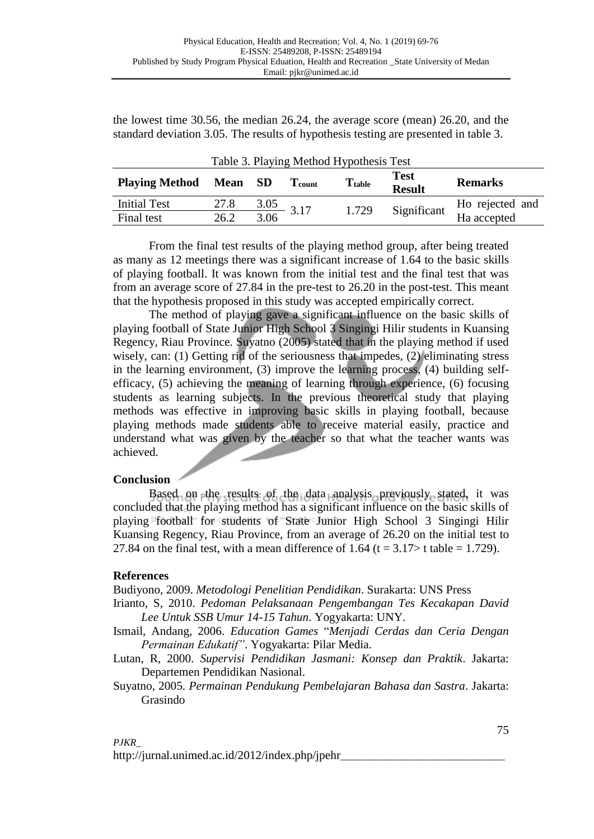the lowest time 30.56, the median 26.24, the average score (mean) 26.20, and the standard deviation 3.05. The results of hypothesis testing are presented in table 3.

| Table 3. Playing Method Hypothesis Test |             |      |                      |                      |                              |                                |  |  |  |  |
|-----------------------------------------|-------------|------|----------------------|----------------------|------------------------------|--------------------------------|--|--|--|--|
| <b>Playing Method</b>                   | <b>Mean</b> | - SD | $\mathbf{T_{count}}$ | $\mathrm{T_{table}}$ | <b>Test</b><br><b>Result</b> | <b>Remarks</b>                 |  |  |  |  |
| <b>Initial Test</b>                     | 27.8        | 3.05 | 3.17                 | 1.729                | Significant                  |                                |  |  |  |  |
| Final test                              | 26.2        | 3.06 |                      |                      |                              | Ho rejected and<br>Ha accepted |  |  |  |  |

From the final test results of the playing method group, after being treated as many as 12 meetings there was a significant increase of 1.64 to the basic skills of playing football. It was known from the initial test and the final test that was from an average score of 27.84 in the pre-test to 26.20 in the post-test. This meant that the hypothesis proposed in this study was accepted empirically correct.

The method of playing gave a significant influence on the basic skills of playing football of State Junior High School 3 Singingi Hilir students in Kuansing Regency, Riau Province. Suyatno (2005) stated that in the playing method if used wisely, can: (1) Getting rid of the seriousness that impedes, (2) eliminating stress in the learning environment, (3) improve the learning process, (4) building selfefficacy, (5) achieving the meaning of learning through experience, (6) focusing students as learning subjects. In the previous theoretical study that playing methods was effective in improving basic skills in playing football, because playing methods made students able to receive material easily, practice and understand what was given by the teacher so that what the teacher wants was achieved.

## **Conclusion**

Based on the results of the data analysis previously stated, it was concluded that the playing method has a significant influence on the basic skills of playing football for students of State Junior High School 3 Singingi Hilir Kuansing Regency, Riau Province, from an average of 26.20 on the initial test to 27.84 on the final test, with a mean difference of 1.64 ( $t = 3.17$  t table = 1.729).

# **References**

Budiyono, 2009. *Metodologi Penelitian Pendidikan*. Surakarta: UNS Press

- Irianto, S, 2010. *Pedoman Pelaksanaan Pengembangan Tes Kecakapan David Lee Untuk SSB Umur 14-15 Tahun*. Yogyakarta: UNY.
- Ismail, Andang, 2006. *Education Games* "*Menjadi Cerdas dan Ceria Dengan Permainan Edukatif"*. Yogyakarta: Pilar Media.

Lutan, R, 2000. *Supervisi Pendidikan Jasmani: Konsep dan Praktik*. Jakarta: Departemen Pendidikan Nasional.

Suyatno, 2005. *Permainan Pendukung Pembelajaran Bahasa dan Sastra*. Jakarta: Grasindo

http://jurnal.unimed.ac.id/2012/index.php/jpehr*\_\_\_\_\_\_\_\_\_\_\_\_\_\_\_\_\_\_\_\_\_\_\_\_\_\_\_\_\_\_\_\_\_*